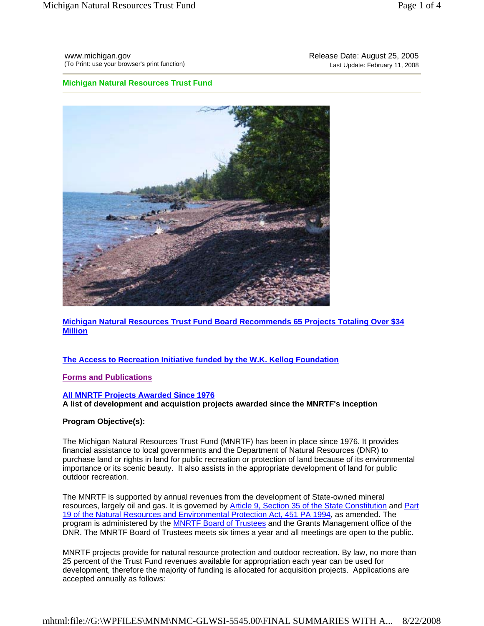Release Date: August 25, 2005 Last Update: February 11, 2008

#### **Michigan Natural Resources Trust Fund**



**Michigan Natural Resources Trust Fund Board Recommends 65 Projects Totaling Over \$34 Million**

# **The Access to Recreation Initiative funded by the W.K. Kellog Foundation**

#### **Forms and Publications**

#### **All MNRTF Projects Awarded Since 1976**

**A list of development and acquistion projects awarded since the MNRTF's inception** 

#### **Program Objective(s):**

The Michigan Natural Resources Trust Fund (MNRTF) has been in place since 1976. It provides financial assistance to local governments and the Department of Natural Resources (DNR) to purchase land or rights in land for public recreation or protection of land because of its environmental importance or its scenic beauty. It also assists in the appropriate development of land for public outdoor recreation.

The MNRTF is supported by annual revenues from the development of State-owned mineral resources, largely oil and gas. It is governed by Article 9, Section 35 of the State Constitution and Part 19 of the Natural Resources and Environmental Protection Act, 451 PA 1994, as amended. The program is administered by the **MNRTF Board of Trustees** and the Grants Management office of the DNR. The MNRTF Board of Trustees meets six times a year and all meetings are open to the public.

MNRTF projects provide for natural resource protection and outdoor recreation. By law, no more than 25 percent of the Trust Fund revenues available for appropriation each year can be used for development, therefore the majority of funding is allocated for acquisition projects. Applications are accepted annually as follows: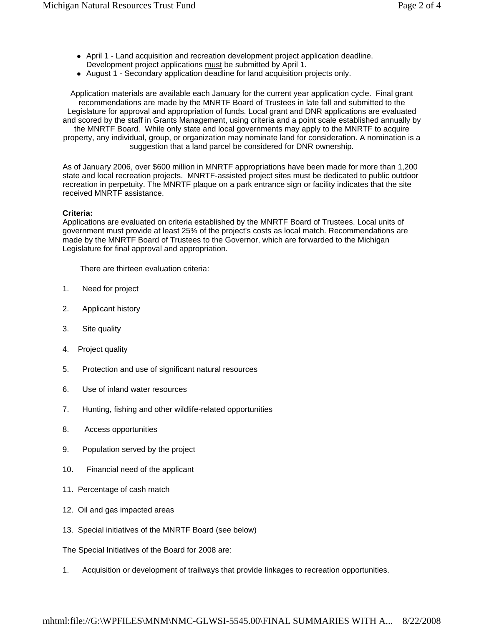- April 1 Land acquisition and recreation development project application deadline. Development project applications must be submitted by April 1.
- August 1 Secondary application deadline for land acquisition projects only.

Application materials are available each January for the current year application cycle. Final grant recommendations are made by the MNRTF Board of Trustees in late fall and submitted to the Legislature for approval and appropriation of funds. Local grant and DNR applications are evaluated and scored by the staff in Grants Management, using criteria and a point scale established annually by the MNRTF Board. While only state and local governments may apply to the MNRTF to acquire property, any individual, group, or organization may nominate land for consideration. A nomination is a suggestion that a land parcel be considered for DNR ownership.

As of January 2006, over \$600 million in MNRTF appropriations have been made for more than 1,200 state and local recreation projects. MNRTF-assisted project sites must be dedicated to public outdoor recreation in perpetuity. The MNRTF plaque on a park entrance sign or facility indicates that the site received MNRTF assistance.

# **Criteria:**

Applications are evaluated on criteria established by the MNRTF Board of Trustees. Local units of government must provide at least 25% of the project's costs as local match. Recommendations are made by the MNRTF Board of Trustees to the Governor, which are forwarded to the Michigan Legislature for final approval and appropriation.

There are thirteen evaluation criteria:

- 1. Need for project
- 2. Applicant history
- 3. Site quality
- 4. Project quality
- 5. Protection and use of significant natural resources
- 6. Use of inland water resources
- 7. Hunting, fishing and other wildlife-related opportunities
- 8. Access opportunities
- 9. Population served by the project
- 10. Financial need of the applicant
- 11. Percentage of cash match
- 12. Oil and gas impacted areas
- 13. Special initiatives of the MNRTF Board (see below)

The Special Initiatives of the Board for 2008 are:

1. Acquisition or development of trailways that provide linkages to recreation opportunities.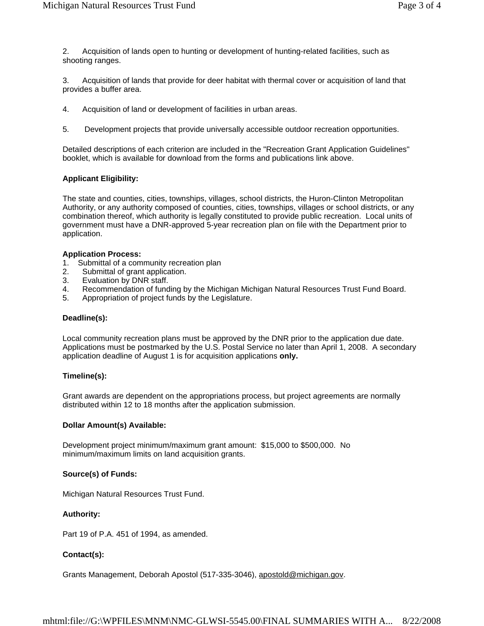2. Acquisition of lands open to hunting or development of hunting-related facilities, such as shooting ranges.

3. Acquisition of lands that provide for deer habitat with thermal cover or acquisition of land that provides a buffer area.

- 4. Acquisition of land or development of facilities in urban areas.
- 5. Development projects that provide universally accessible outdoor recreation opportunities.

Detailed descriptions of each criterion are included in the "Recreation Grant Application Guidelines" booklet, which is available for download from the forms and publications link above.

# **Applicant Eligibility:**

The state and counties, cities, townships, villages, school districts, the Huron-Clinton Metropolitan Authority, or any authority composed of counties, cities, townships, villages or school districts, or any combination thereof, which authority is legally constituted to provide public recreation. Local units of government must have a DNR-approved 5-year recreation plan on file with the Department prior to application.

#### **Application Process:**

- 1. Submittal of a community recreation plan
- 2. Submittal of grant application.
- 3. Evaluation by DNR staff.
- 4. Recommendation of funding by the Michigan Michigan Natural Resources Trust Fund Board.
- 5. Appropriation of project funds by the Legislature.

# **Deadline(s):**

Local community recreation plans must be approved by the DNR prior to the application due date. Applications must be postmarked by the U.S. Postal Service no later than April 1, 2008. A secondary application deadline of August 1 is for acquisition applications **only.**

# **Timeline(s):**

Grant awards are dependent on the appropriations process, but project agreements are normally distributed within 12 to 18 months after the application submission.

#### **Dollar Amount(s) Available:**

Development project minimum/maximum grant amount: \$15,000 to \$500,000. No minimum/maximum limits on land acquisition grants.

# **Source(s) of Funds:**

Michigan Natural Resources Trust Fund.

#### **Authority:**

Part 19 of P.A. 451 of 1994, as amended.

# **Contact(s):**

Grants Management, Deborah Apostol (517-335-3046), apostold@michigan.gov.